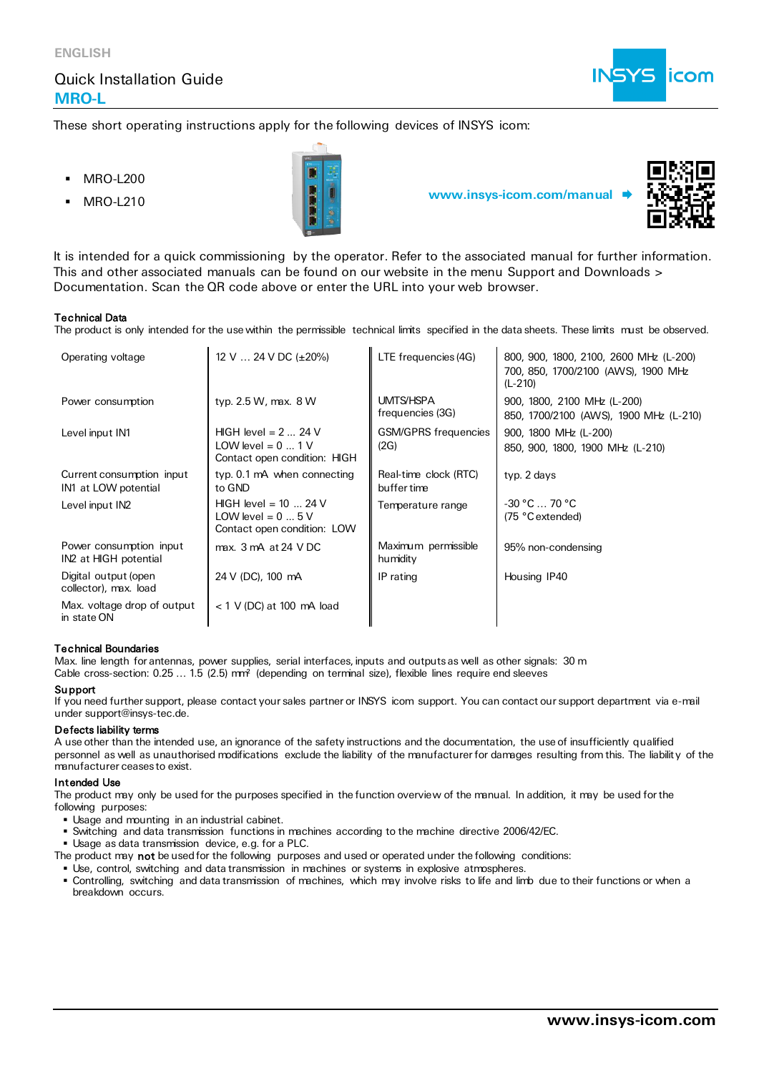## Quick Installation Guide **MRO-L**



These short operating instructions apply for the following devices of INSYS icom:

- **MRO-L200**
- 



**MRO-L210 www.insys-icom.com/manual** 



It is intended for a quick commissioning by the operator. Refer to the associated manual for further information. This and other associated manuals can be found on our website in the menu Support and Downloads > Documentation. Scan the QR code above or enter the URL into your web browser.

### Technical Data

The product is only intended for the use within the permissible technical limits specified in the data sheets. These limits must be observed.

| Operating voltage                                 | 12 V $\ldots$ 24 V DC ( $\pm$ 20%)                                                 | LTE frequencies (4G)                 | 800, 900, 1800, 2100, 2600 MHz (L-200)<br>700, 850, 1700/2100 (AWS), 1900 MHz<br>$(L-210)$ |
|---------------------------------------------------|------------------------------------------------------------------------------------|--------------------------------------|--------------------------------------------------------------------------------------------|
| Power consumption                                 | typ. 2.5 W, max. 8 W                                                               | <b>UMTS/HSPA</b><br>frequencies (3G) | 900, 1800, 2100 MHz (L-200)<br>850, 1700/2100 (AWS), 1900 MHz (L-210)                      |
| Level input IN1                                   | HIGH level = $2 \dots 24$ V<br>LOW level = $0$ 1 V<br>Contact open condition: HIGH | <b>GSM/GPRS</b> frequencies<br>(2G)  | 900, 1800 MHz (L-200)<br>850, 900, 1800, 1900 MHz (L-210)                                  |
| Current consumption input<br>IN1 at LOW potential | typ. 0.1 mA when connecting<br>to GND                                              | Real-time clock (RTC)<br>buffer time | typ. 2 days                                                                                |
| Level input IN2                                   | HIGH level = $10$ 24 V<br>LOW level = $0 \dots 5$ V<br>Contact open condition: LOW | Temperature range                    | $-30 °C$ 70 °C<br>(75 °C extended)                                                         |
| Power consumption input<br>IN2 at HIGH potential  | max. 3 mA at 24 VDC                                                                | Maximum permissible<br>humidity      | 95% non-condensing                                                                         |
| Digital output (open<br>collector), max. load     | 24 V (DC), 100 mA                                                                  | IP rating                            | Housing IP40                                                                               |
| Max. voltage drop of output<br>in state ON        | $<$ 1 V (DC) at 100 mA load                                                        |                                      |                                                                                            |

### Technical Boundaries

Max. line length for antennas, power supplies, serial interfaces, inputs and outputs as well as other signals: 30 m Cable cross-section: 0.25 ... 1.5 (2.5) mm<sup>2</sup> (depending on terminal size), flexible lines require end sleeves

#### **Support**

If you need further support, please contact your sales partner or INSYS icom support. You can contact our support department via e-mail under support@insys-tec.de.

### Defects liability terms

A use other than the intended use, an ignorance of the safety instructions and the documentation, the use of insufficiently qualified personnel as well as unauthorised modifications exclude the liability of the manufacturer for damages resulting from this. The liabilit y of the manufacturer ceases to exist.

#### Intended Use

The product may only be used for the purposes specified in the function overview of the manual. In addition, it may be used for the following purposes:

- Usage and mounting in an industrial cabinet.
- Switching and data transmission functions in machines according to the machine directive 2006/42/EC.
- Usage as data transmission device, e.g. for a PLC.

The product may not be used for the following purposes and used or operated under the following conditions:

- Use, control, switching and data transmission in machines or systems in explosive atmospheres.
- Controlling, switching and data transmission of machines, which may involve risks to life and limb due to their functions or when a breakdown occurs.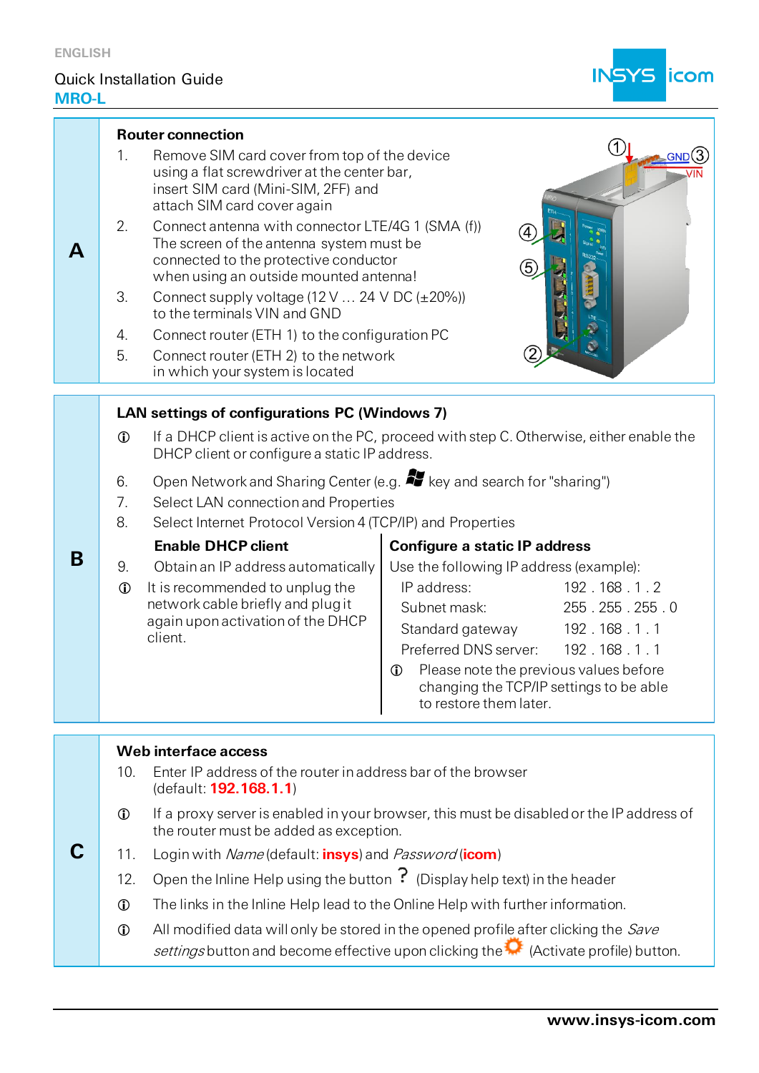**C**

# Quick Installation Guide **MRO-L**



|   |                                                                                                                                                                                                         | <b>Router connection</b>                                                                                                                                                            |                                                                                               |  |  |
|---|---------------------------------------------------------------------------------------------------------------------------------------------------------------------------------------------------------|-------------------------------------------------------------------------------------------------------------------------------------------------------------------------------------|-----------------------------------------------------------------------------------------------|--|--|
|   | 1.                                                                                                                                                                                                      | Remove SIM card cover from top of the device<br>using a flat screwdriver at the center bar,<br>insert SIM card (Mini-SIM, 2FF) and<br>attach SIM card cover again                   |                                                                                               |  |  |
| A | 2.                                                                                                                                                                                                      | Connect antenna with connector LTE/4G 1 (SMA (f))<br>The screen of the antenna system must be<br>connected to the protective conductor<br>when using an outside mounted antenna!    |                                                                                               |  |  |
|   | 3.                                                                                                                                                                                                      | Connect supply voltage $(12 \text{ V} \dots 24 \text{ V} \text{ DC } (\pm 20\%)$<br>to the terminals VIN and GND                                                                    |                                                                                               |  |  |
|   | 4.<br>5.                                                                                                                                                                                                | Connect router (ETH 1) to the configuration PC<br>Connect router (ETH 2) to the network<br>in which your system is located                                                          |                                                                                               |  |  |
|   |                                                                                                                                                                                                         |                                                                                                                                                                                     |                                                                                               |  |  |
|   | LAN settings of configurations PC (Windows 7)<br>If a DHCP client is active on the PC, proceed with step C. Otherwise, either enable the<br>$\bigcirc$<br>DHCP client or configure a static IP address. |                                                                                                                                                                                     |                                                                                               |  |  |
|   | 6.<br>7.<br>8.                                                                                                                                                                                          | Open Network and Sharing Center (e.g. <b>49</b> key and search for "sharing")<br>Select LAN connection and Properties<br>Select Internet Protocol Version 4 (TCP/IP) and Properties |                                                                                               |  |  |
|   |                                                                                                                                                                                                         | <b>Enable DHCP client</b><br><b>Configure a static IP address</b>                                                                                                                   |                                                                                               |  |  |
| B | 9.                                                                                                                                                                                                      | Obtain an IP address automatically                                                                                                                                                  | Use the following IP address (example):                                                       |  |  |
|   | $\mathbf 0$                                                                                                                                                                                             | It is recommended to unplug the                                                                                                                                                     | IP address:<br>192.168.1.2                                                                    |  |  |
|   |                                                                                                                                                                                                         | network cable briefly and plug it<br>again upon activation of the DHCP                                                                                                              | Subnet mask:<br>255.255.255.0                                                                 |  |  |
|   | client.                                                                                                                                                                                                 |                                                                                                                                                                                     | Standard gateway<br>192.168.1.1                                                               |  |  |
|   |                                                                                                                                                                                                         |                                                                                                                                                                                     | Preferred DNS server:<br>192.168.1.1<br>Please note the previous values before<br>$\mathbf 0$ |  |  |
|   |                                                                                                                                                                                                         |                                                                                                                                                                                     | changing the TCP/IP settings to be able<br>to restore them later.                             |  |  |

- If a proxy server is enabled in your browser, this must be disabled or the IP address of the router must be added as exception.
- 11. Login with Name (default: **insys**) and Password (**icom**)
- 12. Open the Inline Help using the button  $\overline{?}$  (Display help text) in the header
- The links in the Inline Help lead to the Online Help with further information.
- $\Phi$  All modified data will only be stored in the opened profile after clicking the *Save* settings button and become effective upon clicking the  $\bullet$  (Activate profile) button.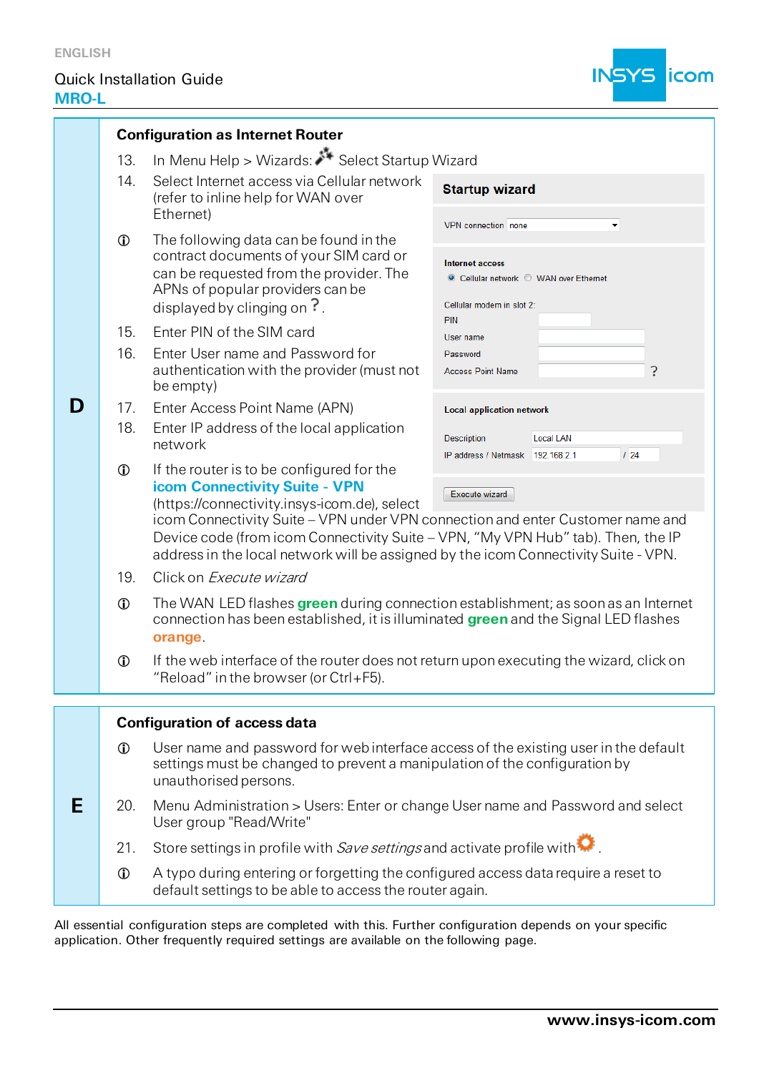**D**

**E**

# Quick Installation Guide **MRO-L**



| <b>Configuration as Internet Router</b>              |                                                                                                                                                                                                                                   |                                                                                                                                                                                                                                                                             |  |  |  |
|------------------------------------------------------|-----------------------------------------------------------------------------------------------------------------------------------------------------------------------------------------------------------------------------------|-----------------------------------------------------------------------------------------------------------------------------------------------------------------------------------------------------------------------------------------------------------------------------|--|--|--|
| In Menu Help > Wizards: Select Startup Wizard<br>13. |                                                                                                                                                                                                                                   |                                                                                                                                                                                                                                                                             |  |  |  |
| 14.                                                  | Select Internet access via Cellular network<br>(refer to inline help for WAN over<br>Ethernet)                                                                                                                                    | <b>Startup wizard</b>                                                                                                                                                                                                                                                       |  |  |  |
| $\mathbf 0$                                          | The following data can be found in the<br>contract documents of your SIM card or<br>can be requested from the provider. The<br>APNs of popular providers can be<br>displayed by clinging on $\frac{?}{ }$ .                       | VPN connection none<br>$\blacktriangledown$<br>Internet access<br>© Cellular network © WAN over Ethernet<br>Cellular modem in slot 2:                                                                                                                                       |  |  |  |
| 15.<br>16.                                           | Enter PIN of the SIM card<br>Enter User name and Password for<br>authentication with the provider (must not<br>be empty)                                                                                                          | PIN<br>User name<br>Password<br>?<br><b>Access Point Name</b>                                                                                                                                                                                                               |  |  |  |
| 17.<br>18.                                           | Enter Access Point Name (APN)<br>Enter IP address of the local application<br>network                                                                                                                                             | <b>Local application network</b><br><b>Description</b><br><b>Local LAN</b><br>124<br>IP address / Netmask 192.168.2.1                                                                                                                                                       |  |  |  |
| $\mathbf 0$                                          | If the router is to be configured for the<br>icom Connectivity Suite - VPN<br>(https://connectivity.insys-icom.de), select                                                                                                        | Execute wizard<br>icom Connectivity Suite - VPN under VPN connection and enter Customer name and<br>Device code (from icom Connectivity Suite - VPN, "My VPN Hub" tab). Then, the IP<br>address in the local network will be assigned by the icom Connectivity Suite - VPN. |  |  |  |
| 19.                                                  | Click on Execute wizard                                                                                                                                                                                                           |                                                                                                                                                                                                                                                                             |  |  |  |
| $\mathbf 0$                                          | The WAN LED flashes green during connection establishment; as soon as an Internet<br>connection has been established, it is illuminated green and the Signal LED flashes<br>orange.                                               |                                                                                                                                                                                                                                                                             |  |  |  |
| $\mathbf 0$                                          | If the web interface of the router does not return upon executing the wizard, click on<br>"Reload" in the browser (or $Ctrl + F5$ )                                                                                               |                                                                                                                                                                                                                                                                             |  |  |  |
|                                                      |                                                                                                                                                                                                                                   |                                                                                                                                                                                                                                                                             |  |  |  |
| $\mathbf 0$                                          | <b>Configuration of access data</b><br>User name and password for web interface access of the existing user in the default<br>settings must be changed to prevent a manipulation of the configuration by<br>unauthorised persons. |                                                                                                                                                                                                                                                                             |  |  |  |
| 20.                                                  | Menu Administration > Users: Enter or change User name and Password and select<br>User group "Read/Write"                                                                                                                         |                                                                                                                                                                                                                                                                             |  |  |  |
| 21.                                                  | Store settings in profile with Save settings and activate profile with $\color{red}\mathbf\Omega^*$                                                                                                                               |                                                                                                                                                                                                                                                                             |  |  |  |
| $\mathbf 0$                                          | A typo during entering or forgetting the configured access data require a reset to<br>default settings to be able to access the router again.                                                                                     |                                                                                                                                                                                                                                                                             |  |  |  |

All essential configuration steps are completed with this. Further configuration depends on your specific application. Other frequently required settings are available on the following page.